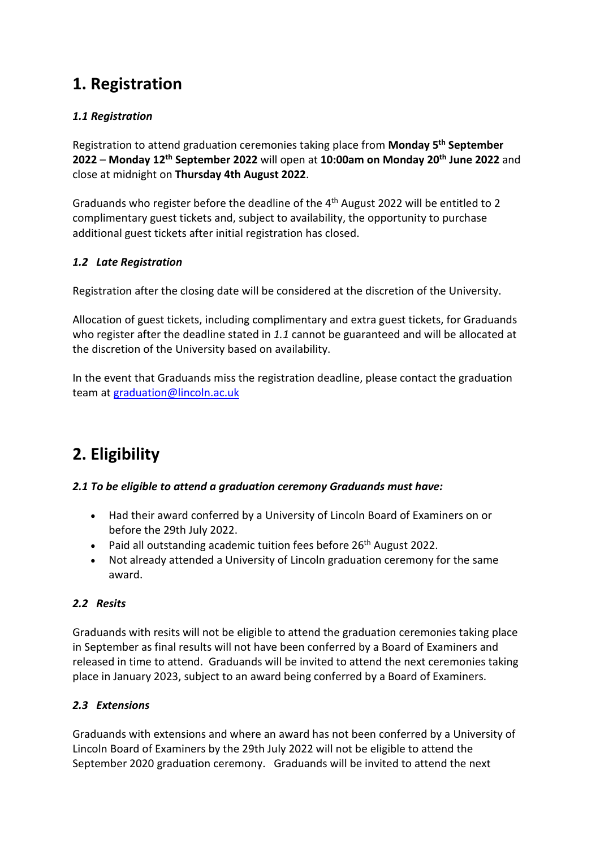# **1. Registration**

### *1.1 Registration*

Registration to attend graduation ceremonies taking place from **Monday 5th September 2022** – **Monday 12th September 2022** will open at **10:00am on Monday 20th June 2022** and close at midnight on **Thursday 4th August 2022**.

Graduands who register before the deadline of the 4th August 2022 will be entitled to 2 complimentary guest tickets and, subject to availability, the opportunity to purchase additional guest tickets after initial registration has closed.

### *1.2 Late Registration*

Registration after the closing date will be considered at the discretion of the University.

Allocation of guest tickets, including complimentary and extra guest tickets, for Graduands who register after the deadline stated in *1.1* cannot be guaranteed and will be allocated at the discretion of the University based on availability.

In the event that Graduands miss the registration deadline, please contact the graduation team at [graduation@lincoln.ac.uk](mailto:graduation@lincoln.ac.uk)

# **2. Eligibility**

### *2.1 To be eligible to attend a graduation ceremony Graduands must have:*

- Had their award conferred by a University of Lincoln Board of Examiners on or before the 29th July 2022.
- Paid all outstanding academic tuition fees before  $26<sup>th</sup>$  August 2022.
- Not already attended a University of Lincoln graduation ceremony for the same award.

### *2.2 Resits*

Graduands with resits will not be eligible to attend the graduation ceremonies taking place in September as final results will not have been conferred by a Board of Examiners and released in time to attend. Graduands will be invited to attend the next ceremonies taking place in January 2023, subject to an award being conferred by a Board of Examiners.

### *2.3 Extensions*

Graduands with extensions and where an award has not been conferred by a University of Lincoln Board of Examiners by the 29th July 2022 will not be eligible to attend the September 2020 graduation ceremony. Graduands will be invited to attend the next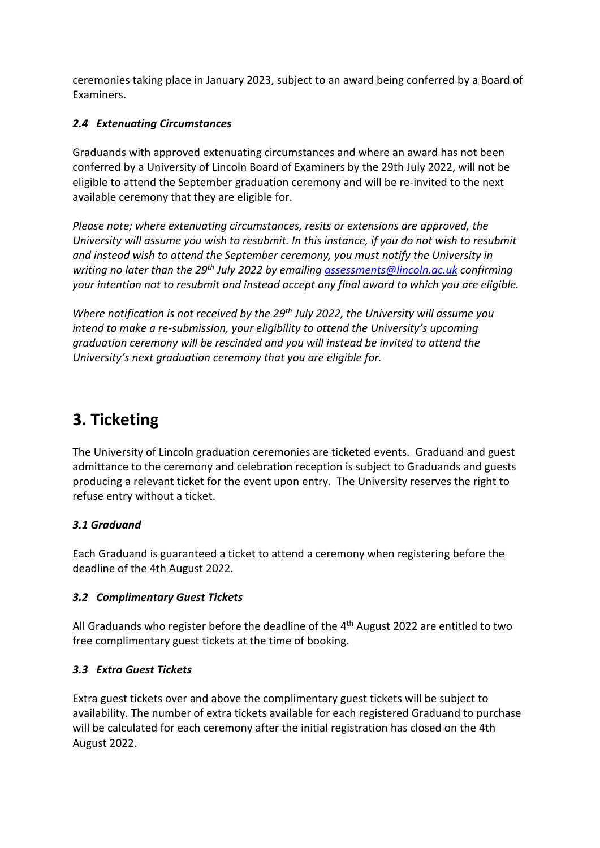ceremonies taking place in January 2023, subject to an award being conferred by a Board of Examiners.

### *2.4 Extenuating Circumstances*

Graduands with approved extenuating circumstances and where an award has not been conferred by a University of Lincoln Board of Examiners by the 29th July 2022, will not be eligible to attend the September graduation ceremony and will be re-invited to the next available ceremony that they are eligible for.

*Please note; where extenuating circumstances, resits or extensions are approved, the University will assume you wish to resubmit. In this instance, if you do not wish to resubmit and instead wish to attend the September ceremony, you must notify the University in writing no later than the 29th July 2022 by emailing [assessments@lincoln.ac.uk](mailto:assessments@lincoln.ac.uk) confirming your intention not to resubmit and instead accept any final award to which you are eligible.*

*Where notification is not received by the 29th July 2022, the University will assume you intend to make a re-submission, your eligibility to attend the University's upcoming graduation ceremony will be rescinded and you will instead be invited to attend the University's next graduation ceremony that you are eligible for.*

# **3. Ticketing**

The University of Lincoln graduation ceremonies are ticketed events. Graduand and guest admittance to the ceremony and celebration reception is subject to Graduands and guests producing a relevant ticket for the event upon entry. The University reserves the right to refuse entry without a ticket.

#### *3.1 Graduand*

Each Graduand is guaranteed a ticket to attend a ceremony when registering before the deadline of the 4th August 2022.

#### *3.2 Complimentary Guest Tickets*

All Graduands who register before the deadline of the  $4<sup>th</sup>$  August 2022 are entitled to two free complimentary guest tickets at the time of booking.

#### *3.3 Extra Guest Tickets*

Extra guest tickets over and above the complimentary guest tickets will be subject to availability. The number of extra tickets available for each registered Graduand to purchase will be calculated for each ceremony after the initial registration has closed on the 4th August 2022.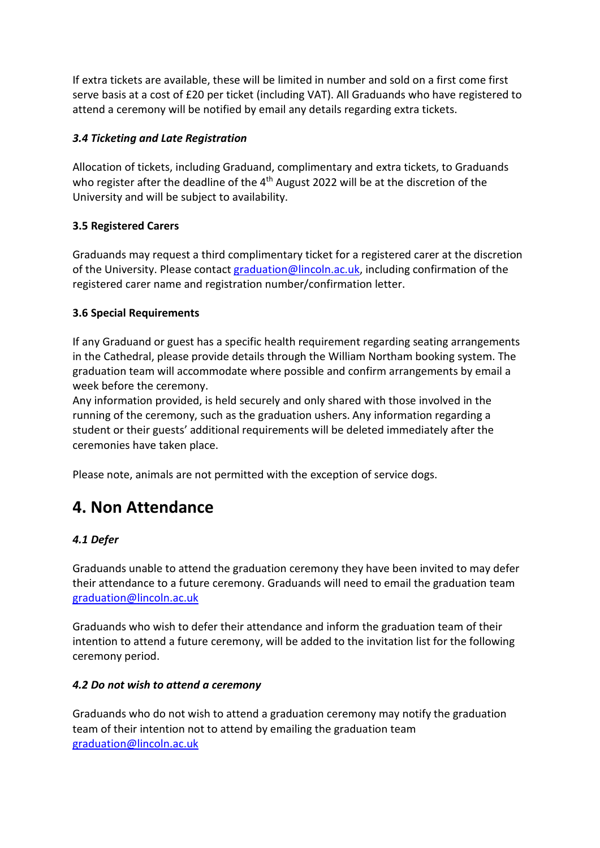If extra tickets are available, these will be limited in number and sold on a first come first serve basis at a cost of £20 per ticket (including VAT). All Graduands who have registered to attend a ceremony will be notified by email any details regarding extra tickets.

### *3.4 Ticketing and Late Registration*

Allocation of tickets, including Graduand, complimentary and extra tickets, to Graduands who register after the deadline of the 4<sup>th</sup> August 2022 will be at the discretion of the University and will be subject to availability.

#### **3.5 Registered Carers**

Graduands may request a third complimentary ticket for a registered carer at the discretion of the University. Please contact [graduation@lincoln.ac.uk,](mailto:graduation@lincoln.ac.uk) including confirmation of the registered carer name and registration number/confirmation letter.

#### **3.6 Special Requirements**

If any Graduand or guest has a specific health requirement regarding seating arrangements in the Cathedral, please provide details through the William Northam booking system. The graduation team will accommodate where possible and confirm arrangements by email a week before the ceremony.

Any information provided, is held securely and only shared with those involved in the running of the ceremony, such as the graduation ushers. Any information regarding a student or their guests' additional requirements will be deleted immediately after the ceremonies have taken place.

Please note, animals are not permitted with the exception of service dogs.

# **4. Non Attendance**

### *4.1 Defer*

Graduands unable to attend the graduation ceremony they have been invited to may defer their attendance to a future ceremony. Graduands will need to email the graduation team [graduation@lincoln.ac.uk](mailto:graduation@lincoln.ac.uk) 

Graduands who wish to defer their attendance and inform the graduation team of their intention to attend a future ceremony, will be added to the invitation list for the following ceremony period.

#### *4.2 Do not wish to attend a ceremony*

Graduands who do not wish to attend a graduation ceremony may notify the graduation team of their intention not to attend by emailing the graduation team [graduation@lincoln.ac.uk](mailto:graduation@lincoln.ac.uk)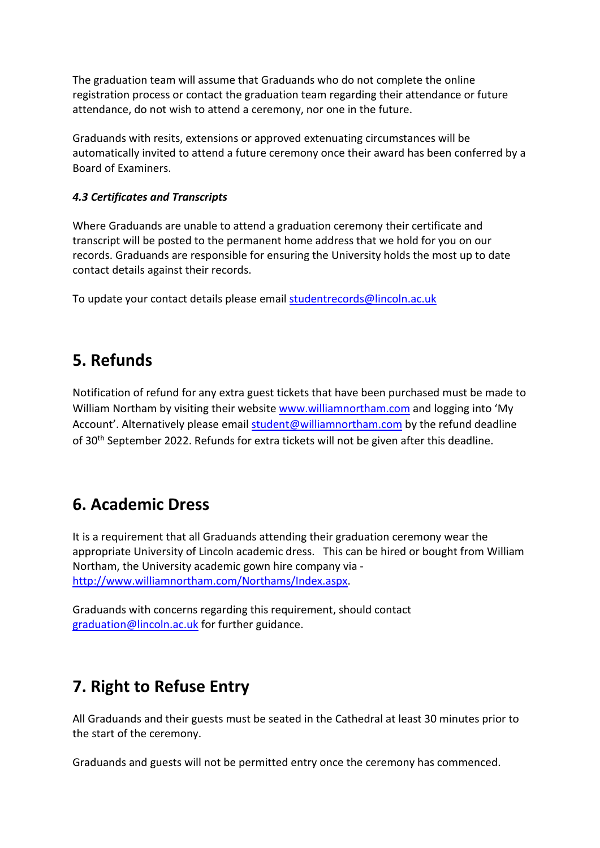The graduation team will assume that Graduands who do not complete the online registration process or contact the graduation team regarding their attendance or future attendance, do not wish to attend a ceremony, nor one in the future.

Graduands with resits, extensions or approved extenuating circumstances will be automatically invited to attend a future ceremony once their award has been conferred by a Board of Examiners.

#### *4.3 Certificates and Transcripts*

Where Graduands are unable to attend a graduation ceremony their certificate and transcript will be posted to the permanent home address that we hold for you on our records. Graduands are responsible for ensuring the University holds the most up to date contact details against their records.

To update your contact details please email [studentrecords@lincoln.ac.uk](mailto:studentrecords@lincoln.ac.uk)

# **5. Refunds**

Notification of refund for any extra guest tickets that have been purchased must be made to William Northam by visiting their website [www.williamnortham.com](http://www.williamnortham.com/) and logging into 'My Account'. Alternatively please email [student@williamnortham.com](mailto:student@williamnortham.com) by the refund deadline of 30<sup>th</sup> September 2022. Refunds for extra tickets will not be given after this deadline.

## **6. Academic Dress**

It is a requirement that all Graduands attending their graduation ceremony wear the appropriate University of Lincoln academic dress. This can be hired or bought from William Northam, the University academic gown hire company via [http://www.williamnortham.com/Northams/Index.aspx.](http://www.williamnortham.com/Northams/Index.aspx)

Graduands with concerns regarding this requirement, should contact [graduation@lincoln.ac.uk](mailto:graduation@lincoln.ac.uk) for further guidance.

# **7. Right to Refuse Entry**

All Graduands and their guests must be seated in the Cathedral at least 30 minutes prior to the start of the ceremony.

Graduands and guests will not be permitted entry once the ceremony has commenced.